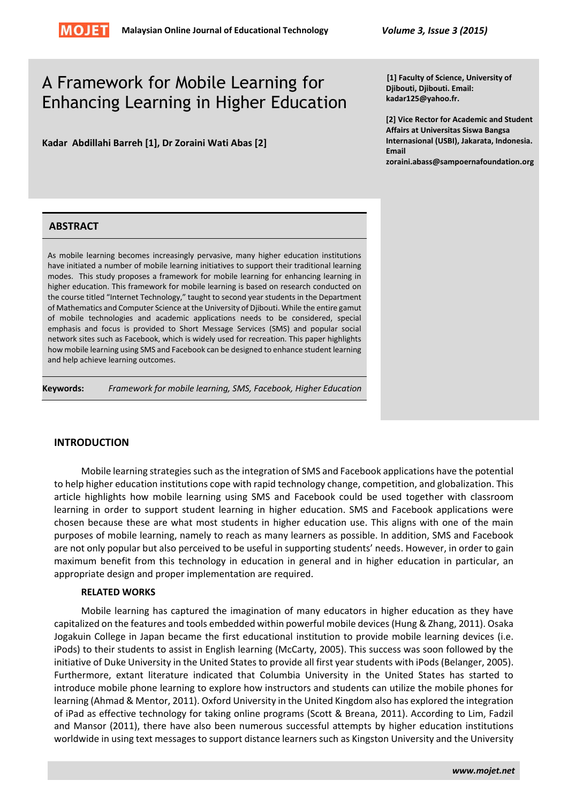

# A Framework for Mobile Learning for Enhancing Learning in Higher Education

**Kadar Abdillahi Barreh [1], Dr Zoraini Wati Abas [2]**

**[1] Faculty of Science, University of Djibouti, Djibouti. Email: kadar125@yahoo.fr.**

**[2] Vice Rector for Academic and Student Affairs at Universitas Siswa Bangsa Internasional (USBI), Jakarata, Indonesia. Email zoraini.abass@sampoernafoundation.org**

# **ABSTRACT**

As mobile learning becomes increasingly pervasive, many higher education institutions have initiated a number of mobile learning initiatives to support their traditional learning modes. This study proposes a framework for mobile learning for enhancing learning in higher education. This framework for mobile learning is based on research conducted on the course titled "Internet Technology," taught to second year students in the Department of Mathematics and Computer Science at the University of Djibouti. While the entire gamut of mobile technologies and academic applications needs to be considered, special emphasis and focus is provided to Short Message Services (SMS) and popular social network sites such as Facebook, which is widely used for recreation. This paper highlights how mobile learning using SMS and Facebook can be designed to enhance student learning and help achieve learning outcomes.

**Keywords:** *Framework for mobile learning, SMS, Facebook, Higher Education*

# **INTRODUCTION**

Mobile learning strategies such as the integration of SMS and Facebook applications have the potential to help higher education institutions cope with rapid technology change, competition, and globalization. This article highlights how mobile learning using SMS and Facebook could be used together with classroom learning in order to support student learning in higher education. SMS and Facebook applications were chosen because these are what most students in higher education use. This aligns with one of the main purposes of mobile learning, namely to reach as many learners as possible. In addition, SMS and Facebook are not only popular but also perceived to be useful in supporting students' needs. However, in order to gain maximum benefit from this technology in education in general and in higher education in particular, an appropriate design and proper implementation are required.

# **RELATED WORKS**

Mobile learning has captured the imagination of many educators in higher education as they have capitalized on the features and tools embedded within powerful mobile devices (Hung & Zhang, 2011). Osaka Jogakuin College in Japan became the first educational institution to provide mobile learning devices (i.e. iPods) to their students to assist in English learning (McCarty, 2005). This success was soon followed by the initiative of Duke University in the United States to provide all first year students with iPods (Belanger, 2005). Furthermore, extant literature indicated that Columbia University in the United States has started to introduce mobile phone learning to explore how instructors and students can utilize the mobile phones for learning (Ahmad & Mentor, 2011). Oxford University in the United Kingdom also has explored the integration of iPad as effective technology for taking online programs (Scott & Breana, 2011). According to Lim, Fadzil and Mansor (2011), there have also been numerous successful attempts by higher education institutions worldwide in using text messages to support distance learners such as Kingston University and the University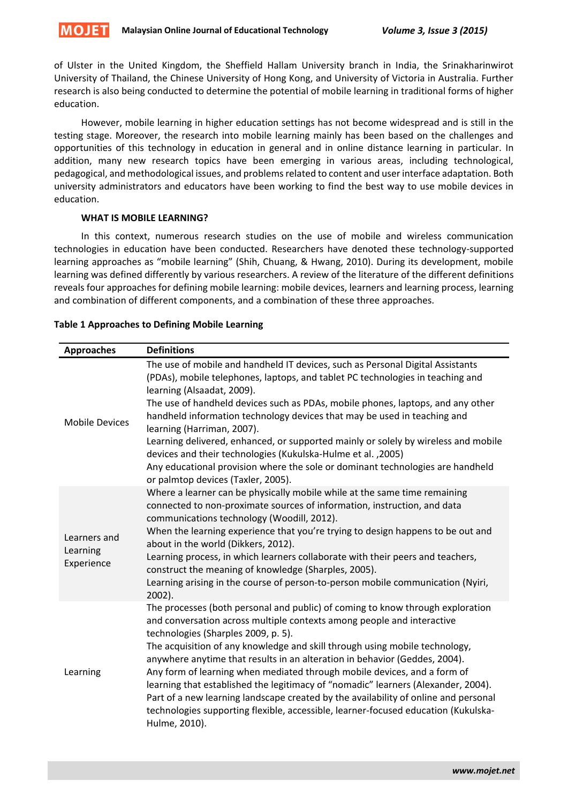

of Ulster in the United Kingdom, the Sheffield Hallam University branch in India, the Srinakharinwirot University of Thailand, the Chinese University of Hong Kong, and University of Victoria in Australia. Further research is also being conducted to determine the potential of mobile learning in traditional forms of higher education.

However, mobile learning in higher education settings has not become widespread and is still in the testing stage. Moreover, the research into mobile learning mainly has been based on the challenges and opportunities of this technology in education in general and in online distance learning in particular. In addition, many new research topics have been emerging in various areas, including technological, pedagogical, and methodological issues, and problems related to content and user interface adaptation. Both university administrators and educators have been working to find the best way to use mobile devices in education.

## **WHAT IS MOBILE LEARNING?**

In this context, numerous research studies on the use of mobile and wireless communication technologies in education have been conducted. Researchers have denoted these technology-supported learning approaches as "mobile learning" (Shih, Chuang, & Hwang, 2010). During its development, mobile learning was defined differently by various researchers. A review of the literature of the different definitions reveals four approaches for defining mobile learning: mobile devices, learners and learning process, learning and combination of different components, and a combination of these three approaches.

| <b>Approaches</b>                      | <b>Definitions</b>                                                                                                                                                                                                                                                                                                                                                                                                                                                                                                                                                                                                                                                                                                          |
|----------------------------------------|-----------------------------------------------------------------------------------------------------------------------------------------------------------------------------------------------------------------------------------------------------------------------------------------------------------------------------------------------------------------------------------------------------------------------------------------------------------------------------------------------------------------------------------------------------------------------------------------------------------------------------------------------------------------------------------------------------------------------------|
| <b>Mobile Devices</b>                  | The use of mobile and handheld IT devices, such as Personal Digital Assistants<br>(PDAs), mobile telephones, laptops, and tablet PC technologies in teaching and<br>learning (Alsaadat, 2009).<br>The use of handheld devices such as PDAs, mobile phones, laptops, and any other<br>handheld information technology devices that may be used in teaching and<br>learning (Harriman, 2007).<br>Learning delivered, enhanced, or supported mainly or solely by wireless and mobile<br>devices and their technologies (Kukulska-Hulme et al., 2005)<br>Any educational provision where the sole or dominant technologies are handheld<br>or palmtop devices (Taxler, 2005).                                                   |
| Learners and<br>Learning<br>Experience | Where a learner can be physically mobile while at the same time remaining<br>connected to non-proximate sources of information, instruction, and data<br>communications technology (Woodill, 2012).<br>When the learning experience that you're trying to design happens to be out and<br>about in the world (Dikkers, 2012).<br>Learning process, in which learners collaborate with their peers and teachers,<br>construct the meaning of knowledge (Sharples, 2005).<br>Learning arising in the course of person-to-person mobile communication (Nyiri,<br>2002).                                                                                                                                                        |
| Learning                               | The processes (both personal and public) of coming to know through exploration<br>and conversation across multiple contexts among people and interactive<br>technologies (Sharples 2009, p. 5).<br>The acquisition of any knowledge and skill through using mobile technology,<br>anywhere anytime that results in an alteration in behavior (Geddes, 2004).<br>Any form of learning when mediated through mobile devices, and a form of<br>learning that established the legitimacy of "nomadic" learners (Alexander, 2004).<br>Part of a new learning landscape created by the availability of online and personal<br>technologies supporting flexible, accessible, learner-focused education (Kukulska-<br>Hulme, 2010). |

#### **Table 1 Approaches to Defining Mobile Learning**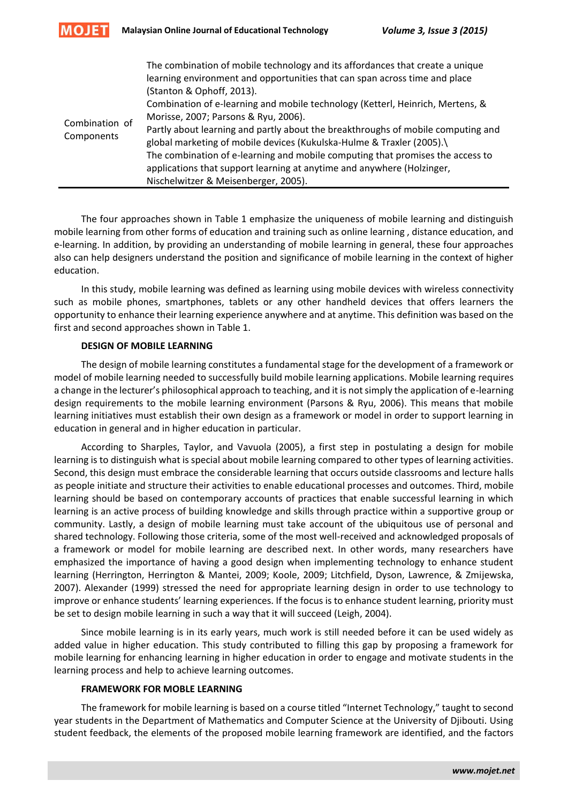

| Combination of<br>Components | The combination of mobile technology and its affordances that create a unique<br>learning environment and opportunities that can span across time and place<br>(Stanton & Ophoff, 2013).<br>Combination of e-learning and mobile technology (Ketterl, Heinrich, Mertens, &<br>Morisse, 2007; Parsons & Ryu, 2006).<br>Partly about learning and partly about the breakthroughs of mobile computing and<br>global marketing of mobile devices (Kukulska-Hulme & Traxler (2005).\<br>The combination of e-learning and mobile computing that promises the access to<br>applications that support learning at anytime and anywhere (Holzinger,<br>Nischelwitzer & Meisenberger, 2005). |
|------------------------------|-------------------------------------------------------------------------------------------------------------------------------------------------------------------------------------------------------------------------------------------------------------------------------------------------------------------------------------------------------------------------------------------------------------------------------------------------------------------------------------------------------------------------------------------------------------------------------------------------------------------------------------------------------------------------------------|
|------------------------------|-------------------------------------------------------------------------------------------------------------------------------------------------------------------------------------------------------------------------------------------------------------------------------------------------------------------------------------------------------------------------------------------------------------------------------------------------------------------------------------------------------------------------------------------------------------------------------------------------------------------------------------------------------------------------------------|

The four approaches shown in Table 1 emphasize the uniqueness of mobile learning and distinguish mobile learning from other forms of education and training such as online learning , distance education, and e-learning. In addition, by providing an understanding of mobile learning in general, these four approaches also can help designers understand the position and significance of mobile learning in the context of higher education.

In this study, mobile learning was defined as learning using mobile devices with wireless connectivity such as mobile phones, smartphones, tablets or any other handheld devices that offers learners the opportunity to enhance their learning experience anywhere and at anytime. This definition was based on the first and second approaches shown in Table 1.

## **DESIGN OF MOBILE LEARNING**

The design of mobile learning constitutes a fundamental stage for the development of a framework or model of mobile learning needed to successfully build mobile learning applications. Mobile learning requires a change in the lecturer's philosophical approach to teaching, and it is not simply the application of e-learning design requirements to the mobile learning environment (Parsons & Ryu, 2006). This means that mobile learning initiatives must establish their own design as a framework or model in order to support learning in education in general and in higher education in particular.

According to Sharples, Taylor, and Vavuola (2005), a first step in postulating a design for mobile learning is to distinguish what is special about mobile learning compared to other types of learning activities. Second, this design must embrace the considerable learning that occurs outside classrooms and lecture halls as people initiate and structure their activities to enable educational processes and outcomes. Third, mobile learning should be based on contemporary accounts of practices that enable successful learning in which learning is an active process of building knowledge and skills through practice within a supportive group or community. Lastly, a design of mobile learning must take account of the ubiquitous use of personal and shared technology. Following those criteria, some of the most well-received and acknowledged proposals of a framework or model for mobile learning are described next. In other words, many researchers have emphasized the importance of having a good design when implementing technology to enhance student learning (Herrington, Herrington & Mantei, 2009; Koole, 2009; Litchfield, Dyson, Lawrence, & Zmijewska, 2007). Alexander (1999) stressed the need for appropriate learning design in order to use technology to improve or enhance students' learning experiences. If the focus is to enhance student learning, priority must be set to design mobile learning in such a way that it will succeed (Leigh, 2004).

Since mobile learning is in its early years, much work is still needed before it can be used widely as added value in higher education. This study contributed to filling this gap by proposing a framework for mobile learning for enhancing learning in higher education in order to engage and motivate students in the learning process and help to achieve learning outcomes.

# **FRAMEWORK FOR MOBLE LEARNING**

The framework for mobile learning is based on a course titled "Internet Technology," taught to second year students in the Department of Mathematics and Computer Science at the University of Djibouti. Using student feedback, the elements of the proposed mobile learning framework are identified, and the factors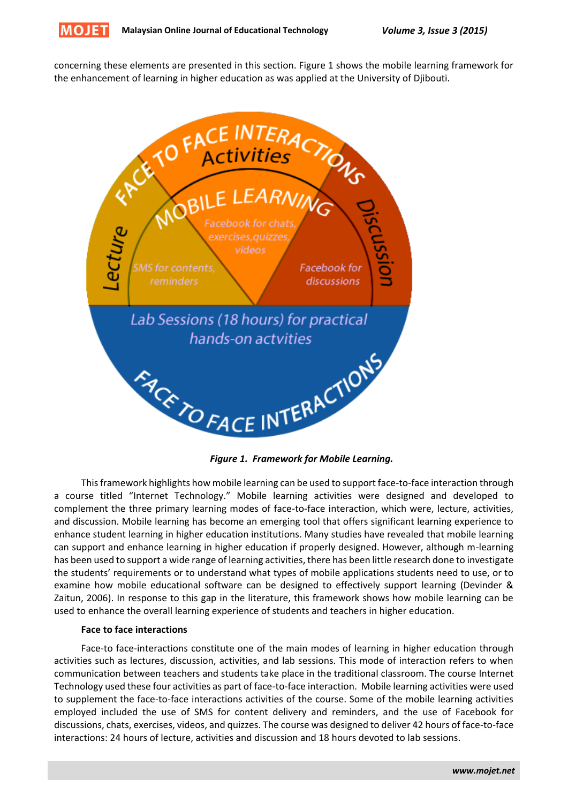

concerning these elements are presented in this section. Figure 1 shows the mobile learning framework for the enhancement of learning in higher education as was applied at the University of Djibouti.



 *Figure 1. Framework for Mobile Learning.*

This framework highlights how mobile learning can be used to support face-to-face interaction through a course titled "Internet Technology." Mobile learning activities were designed and developed to complement the three primary learning modes of face-to-face interaction, which were, lecture, activities, and discussion. Mobile learning has become an emerging tool that offers significant learning experience to enhance student learning in higher education institutions. Many studies have revealed that mobile learning can support and enhance learning in higher education if properly designed. However, although m-learning has been used to support a wide range of learning activities, there has been little research done to investigate the students' requirements or to understand what types of mobile applications students need to use, or to examine how mobile educational software can be designed to effectively support learning (Devinder & Zaitun, 2006). In response to this gap in the literature, this framework shows how mobile learning can be used to enhance the overall learning experience of students and teachers in higher education.

#### **Face to face interactions**

Face-to face-interactions constitute one of the main modes of learning in higher education through activities such as lectures, discussion, activities, and lab sessions. This mode of interaction refers to when communication between teachers and students take place in the traditional classroom. The course Internet Technology used these four activities as part of face-to-face interaction. Mobile learning activities were used to supplement the face-to-face interactions activities of the course. Some of the mobile learning activities employed included the use of SMS for content delivery and reminders, and the use of Facebook for discussions, chats, exercises, videos, and quizzes. The course was designed to deliver 42 hours of face-to-face interactions: 24 hours of lecture, activities and discussion and 18 hours devoted to lab sessions.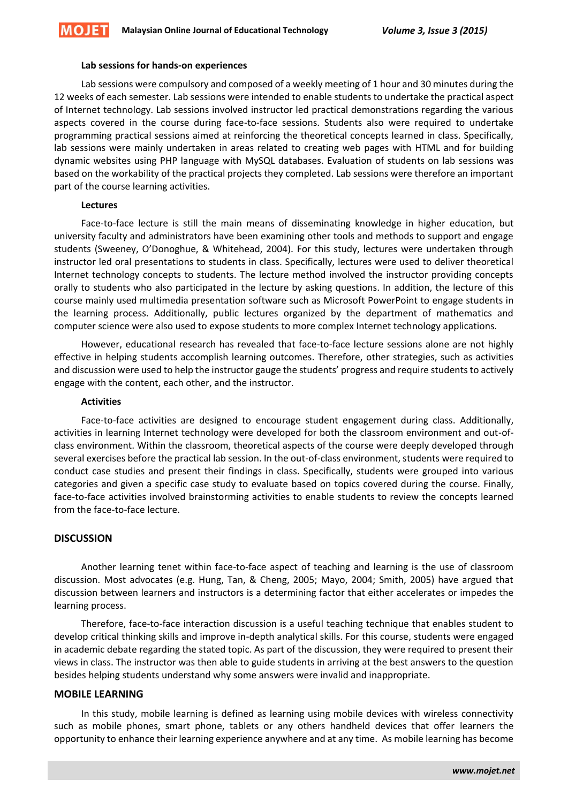#### **Lab sessions for hands-on experiences**

Lab sessions were compulsory and composed of a weekly meeting of 1 hour and 30 minutes during the 12 weeks of each semester. Lab sessions were intended to enable students to undertake the practical aspect of Internet technology. Lab sessions involved instructor led practical demonstrations regarding the various aspects covered in the course during face-to-face sessions. Students also were required to undertake programming practical sessions aimed at reinforcing the theoretical concepts learned in class. Specifically, lab sessions were mainly undertaken in areas related to creating web pages with HTML and for building dynamic websites using PHP language with MySQL databases. Evaluation of students on lab sessions was based on the workability of the practical projects they completed. Lab sessions were therefore an important part of the course learning activities.

#### **Lectures**

Face-to-face lecture is still the main means of disseminating knowledge in higher education, but university faculty and administrators have been examining other tools and methods to support and engage students (Sweeney, O'Donoghue, & Whitehead, 2004). For this study, lectures were undertaken through instructor led oral presentations to students in class. Specifically, lectures were used to deliver theoretical Internet technology concepts to students. The lecture method involved the instructor providing concepts orally to students who also participated in the lecture by asking questions. In addition, the lecture of this course mainly used multimedia presentation software such as Microsoft PowerPoint to engage students in the learning process. Additionally, public lectures organized by the department of mathematics and computer science were also used to expose students to more complex Internet technology applications.

However, educational research has revealed that face-to-face lecture sessions alone are not highly effective in helping students accomplish learning outcomes. Therefore, other strategies, such as activities and discussion were used to help the instructor gauge the students' progress and require students to actively engage with the content, each other, and the instructor.

#### **Activities**

Face-to-face activities are designed to encourage student engagement during class. Additionally, activities in learning Internet technology were developed for both the classroom environment and out-ofclass environment. Within the classroom, theoretical aspects of the course were deeply developed through several exercises before the practical lab session. In the out-of-class environment, students were required to conduct case studies and present their findings in class. Specifically, students were grouped into various categories and given a specific case study to evaluate based on topics covered during the course. Finally, face-to-face activities involved brainstorming activities to enable students to review the concepts learned from the face-to-face lecture.

# **DISCUSSION**

Another learning tenet within face-to-face aspect of teaching and learning is the use of classroom discussion. Most advocates (e.g. Hung, Tan, & Cheng, 2005; Mayo, 2004; Smith, 2005) have argued that discussion between learners and instructors is a determining factor that either accelerates or impedes the learning process.

Therefore, face-to-face interaction discussion is a useful teaching technique that enables student to develop critical thinking skills and improve in-depth analytical skills. For this course, students were engaged in academic debate regarding the stated topic. As part of the discussion, they were required to present their views in class. The instructor was then able to guide students in arriving at the best answers to the question besides helping students understand why some answers were invalid and inappropriate.

## **MOBILE LEARNING**

In this study, mobile learning is defined as learning using mobile devices with wireless connectivity such as mobile phones, smart phone, tablets or any others handheld devices that offer learners the opportunity to enhance their learning experience anywhere and at any time. As mobile learning has become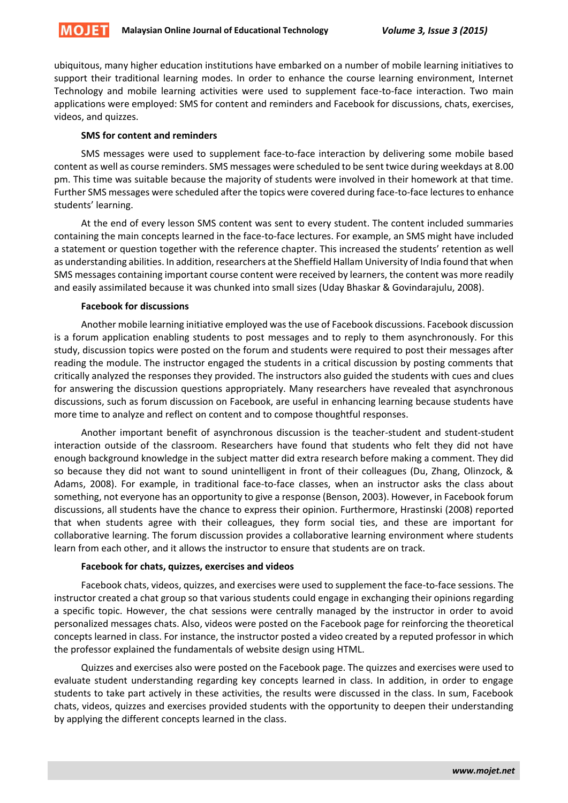

ubiquitous, many higher education institutions have embarked on a number of mobile learning initiatives to support their traditional learning modes. In order to enhance the course learning environment, Internet Technology and mobile learning activities were used to supplement face-to-face interaction. Two main applications were employed: SMS for content and reminders and Facebook for discussions, chats, exercises, videos, and quizzes.

## **SMS for content and reminders**

SMS messages were used to supplement face-to-face interaction by delivering some mobile based content as well as course reminders. SMS messages were scheduled to be sent twice during weekdays at 8.00 pm. This time was suitable because the majority of students were involved in their homework at that time. Further SMS messages were scheduled after the topics were covered during face-to-face lectures to enhance students' learning.

At the end of every lesson SMS content was sent to every student. The content included summaries containing the main concepts learned in the face-to-face lectures. For example, an SMS might have included a statement or question together with the reference chapter. This increased the students' retention as well as understanding abilities. In addition, researchers at the Sheffield Hallam University of India found that when SMS messages containing important course content were received by learners, the content was more readily and easily assimilated because it was chunked into small sizes (Uday Bhaskar & Govindarajulu, 2008).

## **Facebook for discussions**

Another mobile learning initiative employed was the use of Facebook discussions. Facebook discussion is a forum application enabling students to post messages and to reply to them asynchronously. For this study, discussion topics were posted on the forum and students were required to post their messages after reading the module. The instructor engaged the students in a critical discussion by posting comments that critically analyzed the responses they provided. The instructors also guided the students with cues and clues for answering the discussion questions appropriately. Many researchers have revealed that asynchronous discussions, such as forum discussion on Facebook, are useful in enhancing learning because students have more time to analyze and reflect on content and to compose thoughtful responses.

Another important benefit of asynchronous discussion is the teacher-student and student-student interaction outside of the classroom. Researchers have found that students who felt they did not have enough background knowledge in the subject matter did extra research before making a comment. They did so because they did not want to sound unintelligent in front of their colleagues (Du, Zhang, Olinzock, & Adams, 2008). For example, in traditional face-to-face classes, when an instructor asks the class about something, not everyone has an opportunity to give a response (Benson, 2003). However, in Facebook forum discussions, all students have the chance to express their opinion. Furthermore, Hrastinski (2008) reported that when students agree with their colleagues, they form social ties, and these are important for collaborative learning. The forum discussion provides a collaborative learning environment where students learn from each other, and it allows the instructor to ensure that students are on track.

# **Facebook for chats, quizzes, exercises and videos**

Facebook chats, videos, quizzes, and exercises were used to supplement the face-to-face sessions. The instructor created a chat group so that various students could engage in exchanging their opinions regarding a specific topic. However, the chat sessions were centrally managed by the instructor in order to avoid personalized messages chats. Also, videos were posted on the Facebook page for reinforcing the theoretical concepts learned in class. For instance, the instructor posted a video created by a reputed professor in which the professor explained the fundamentals of website design using HTML.

Quizzes and exercises also were posted on the Facebook page. The quizzes and exercises were used to evaluate student understanding regarding key concepts learned in class. In addition, in order to engage students to take part actively in these activities, the results were discussed in the class. In sum, Facebook chats, videos, quizzes and exercises provided students with the opportunity to deepen their understanding by applying the different concepts learned in the class.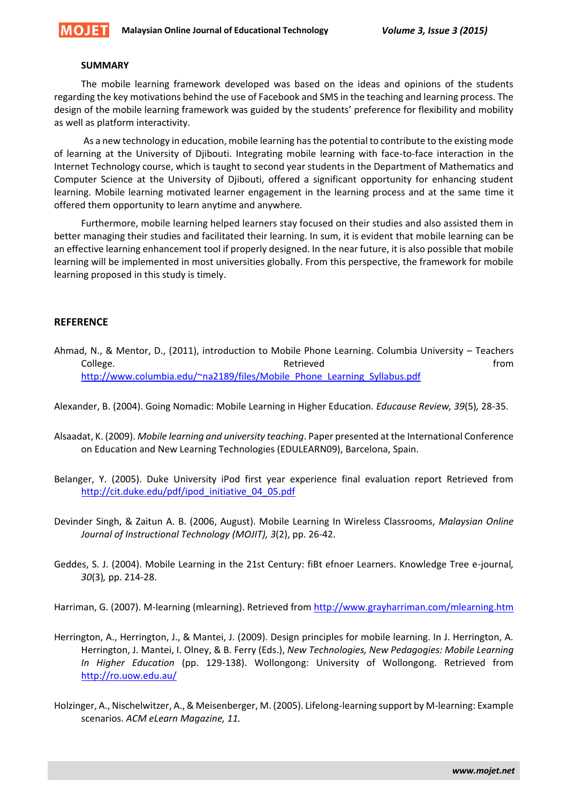

#### **SUMMARY**

The mobile learning framework developed was based on the ideas and opinions of the students regarding the key motivations behind the use of Facebook and SMS in the teaching and learning process. The design of the mobile learning framework was guided by the students' preference for flexibility and mobility as well as platform interactivity.

As a new technology in education, mobile learning has the potential to contribute to the existing mode of learning at the University of Djibouti. Integrating mobile learning with face-to-face interaction in the Internet Technology course, which is taught to second year students in the Department of Mathematics and Computer Science at the University of Djibouti, offered a significant opportunity for enhancing student learning. Mobile learning motivated learner engagement in the learning process and at the same time it offered them opportunity to learn anytime and anywhere.

Furthermore, mobile learning helped learners stay focused on their studies and also assisted them in better managing their studies and facilitated their learning. In sum, it is evident that mobile learning can be an effective learning enhancement tool if properly designed. In the near future, it is also possible that mobile learning will be implemented in most universities globally. From this perspective, the framework for mobile learning proposed in this study is timely.

## **REFERENCE**

Ahmad, N., & Mentor, D., (2011), introduction to Mobile Phone Learning. Columbia University – Teachers College. The college of the college of the college. The college of the college of the college of the college of the college of the college of the college of the college of the college of the college of the college of the c [http://www.columbia.edu/~na2189/files/Mobile\\_Phone\\_Learning\\_Syllabus.pdf](http://www.columbia.edu/~na2189/files/Mobile_Phone_Learning_Syllabus.pdf)

Alexander, B. (2004). Going Nomadic: Mobile Learning in Higher Education. *Educause Review, 39*(5)*,* 28-35.

- Alsaadat, K. (2009). *Mobile learning and university teaching*. Paper presented at the International Conference on Education and New Learning Technologies (EDULEARN09), Barcelona, Spain.
- Belanger, Y. (2005). Duke University iPod first year experience final evaluation report Retrieved from [http://cit.duke.edu/pdf/ipod\\_initiative\\_04\\_05.pdf](http://cit.duke.edu/pdf/ipod_initiative_04_05.pdf)
- Devinder Singh, & Zaitun A. B. (2006, August). Mobile Learning In Wireless Classrooms, *Malaysian Online Journal of Instructional Technology (MOJIT), 3*(2), pp. 26-42.
- Geddes, S. J. (2004). Mobile Learning in the 21st Century: fiBt efnoer Learners. Knowledge Tree e-journal*, 30*(3)*,* pp. 214-28.

Harriman, G. (2007). M-learning (mlearning). Retrieved from<http://www.grayharriman.com/mlearning.htm>

- Herrington, A., Herrington, J., & Mantei, J. (2009). Design principles for mobile learning. In J. Herrington, A. Herrington, J. Mantei, I. Olney, & B. Ferry (Eds.), *New Technologies, New Pedagogies: Mobile Learning In Higher Education* (pp. 129-138). Wollongong: University of Wollongong. Retrieved from <http://ro.uow.edu.au/>
- Holzinger, A., Nischelwitzer, A., & Meisenberger, M. (2005). Lifelong-learning support by M-learning: Example scenarios. *ACM eLearn Magazine, 11.*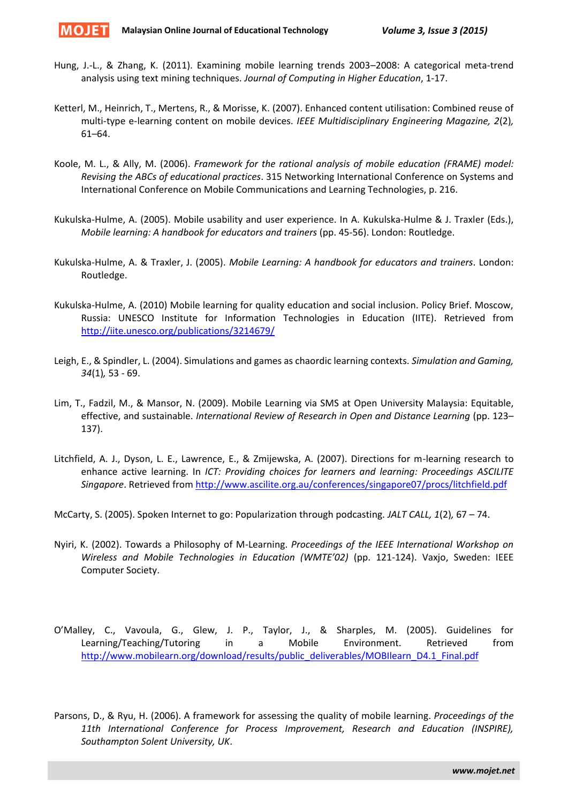

- Hung, J.-L., & Zhang, K. (2011). Examining mobile learning trends 2003–2008: A categorical meta-trend analysis using text mining techniques. *Journal of Computing in Higher Education*, 1-17.
- Ketterl, M., Heinrich, T., Mertens, R., & Morisse, K. (2007). Enhanced content utilisation: Combined reuse of multi-type e-learning content on mobile devices. *IEEE Multidisciplinary Engineering Magazine, 2*(2)*,*  61–64.
- Koole, M. L., & Ally, M. (2006). *Framework for the rational analysis of mobile education (FRAME) model: Revising the ABCs of educational practices*. 315 Networking International Conference on Systems and International Conference on Mobile Communications and Learning Technologies, p. 216.
- Kukulska-Hulme, A. (2005). Mobile usability and user experience. In A. Kukulska-Hulme & J. Traxler (Eds.), *Mobile learning: A handbook for educators and trainers* (pp. 45-56). London: Routledge.
- Kukulska-Hulme, A. & Traxler, J. (2005). *Mobile Learning: A handbook for educators and trainers*. London: Routledge.
- Kukulska-Hulme, A. (2010) Mobile learning for quality education and social inclusion. Policy Brief. Moscow, Russia: UNESCO Institute for Information Technologies in Education (IITE). Retrieved from <http://iite.unesco.org/publications/3214679/>
- Leigh, E., & Spindler, L. (2004). Simulations and games as chaordic learning contexts. *Simulation and Gaming, 34*(1)*,* 53 - 69.
- Lim, T., Fadzil, M., & Mansor, N. (2009). Mobile Learning via SMS at Open University Malaysia: Equitable, effective, and sustainable. *International Review of Research in Open and Distance Learning* (pp. 123– 137).
- Litchfield, A. J., Dyson, L. E., Lawrence, E., & Zmijewska, A. (2007). Directions for m-learning research to enhance active learning. In *ICT: Providing choices for learners and learning: Proceedings ASCILITE Singapore*. Retrieved from<http://www.ascilite.org.au/conferences/singapore07/procs/litchfield.pdf>
- McCarty, S. (2005). Spoken Internet to go: Popularization through podcasting. *JALT CALL, 1*(2)*,* 67 74.
- Nyiri, K. (2002). Towards a Philosophy of M-Learning. *Proceedings of the IEEE International Workshop on Wireless and Mobile Technologies in Education (WMTE'02)* (pp. 121-124). Vaxjo, Sweden: IEEE Computer Society.
- O'Malley, C., Vavoula, G., Glew, J. P., Taylor, J., & Sharples, M. (2005). Guidelines for Learning/Teaching/Tutoring in a Mobile Environment. Retrieved from [http://www.mobilearn.org/download/results/public\\_deliverables/MOBIlearn\\_D4.1\\_Final.pdf](http://www.mobilearn.org/download/results/public_deliverables/MOBIlearn_D4.1_Final.pdf)
- Parsons, D., & Ryu, H. (2006). A framework for assessing the quality of mobile learning. *Proceedings of the 11th International Conference for Process Improvement, Research and Education (INSPIRE), Southampton Solent University, UK*.